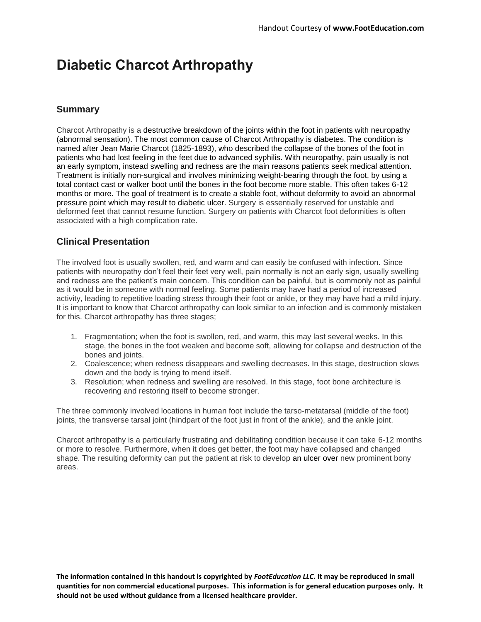# **Diabetic Charcot Arthropathy**

### **Summary**

Charcot Arthropathy is a destructive breakdown of the joints within the foot in patients with neuropathy (abnormal sensation). The most common cause of Charcot Arthropathy is [diabetes.](https://footeducation.com/diabetes/) The condition is named after Jean Marie Charcot (1825-1893), who described the collapse of the bones of the foot in patients who had lost feeling in the feet due to advanced syphilis. With neuropathy, pain usually is not an early symptom, instead swelling and redness are the main reasons patients seek medical attention. Treatment is initially non-surgical and involves minimizing weight-bearing through the foot, by using a total contact cast or walker boot until the bones in the foot become more stable. This often takes 6-12 months or more. The goal of treatment is to create a stable foot, without deformity to avoid an abnormal pressure point which may result to [diabetic ulcer.](https://footeducation.com/diabetic-ulcer/) Surgery is essentially reserved for unstable and deformed feet that cannot resume function. Surgery on patients with Charcot foot deformities is often associated with a high complication rate.

## **Clinical Presentation**

The involved foot is usually swollen, red, and warm and can easily be confused with infection. Since patients with neuropathy don't feel their feet very well, pain normally is not an early sign, usually swelling and redness are the patient's main concern. This condition can be painful, but is commonly not as painful as it would be in someone with normal feeling. Some patients may have had a period of increased activity, leading to repetitive loading stress through their foot or ankle, or they may have had a mild injury. It is important to know that Charcot arthropathy can look similar to an infection and is commonly mistaken for this. Charcot arthropathy has three stages;

- 1. Fragmentation; when the foot is swollen, red, and warm, this may last several weeks. In this stage, the bones in the foot weaken and become soft, allowing for collapse and destruction of the bones and joints.
- 2. Coalescence; when redness disappears and swelling decreases. In this stage, destruction slows down and the body is trying to mend itself.
- 3. Resolution; when redness and swelling are resolved. In this stage, foot bone architecture is recovering and restoring itself to become stronger.

The three commonly involved locations in human foot include the tarso-metatarsal (middle of the foot) joints, the transverse tarsal joint (hindpart of the foot just in front of the ankle), and the ankle joint.

Charcot arthropathy is a particularly frustrating and debilitating condition because it can take 6-12 months or more to resolve. Furthermore, when it does get better, the foot may have collapsed and changed shape. The resulting deformity can put the patient at risk to develop an [ulcer](https://footeducation.com/diabetic-ulcer/) over new prominent bony areas.

**The information contained in this handout is copyrighted by** *FootEducation LLC***. It may be reproduced in small quantities for non commercial educational purposes. This information is for general education purposes only. It should not be used without guidance from a licensed healthcare provider.**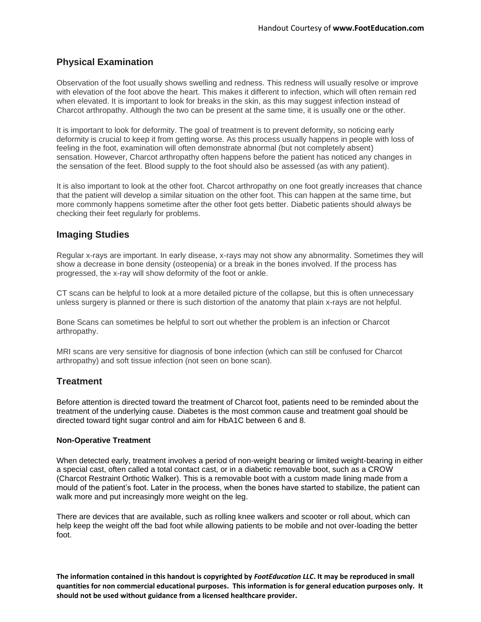## **Physical Examination**

Observation of the foot usually shows swelling and redness. This redness will usually resolve or improve with elevation of the foot above the heart. This makes it different to infection, which will often remain red when elevated. It is important to look for breaks in the skin, as this may suggest infection instead of Charcot arthropathy. Although the two can be present at the same time, it is usually one or the other.

It is important to look for deformity. The goal of treatment is to prevent deformity, so noticing early deformity is crucial to keep it from getting worse. As this process usually happens in people with loss of feeling in the foot, examination will often demonstrate abnormal (but not completely absent) sensation. However, Charcot arthropathy often happens before the patient has noticed any changes in the sensation of the feet. Blood supply to the foot should also be assessed (as with any patient).

It is also important to look at the other foot. Charcot arthropathy on one foot greatly increases that chance that the patient will develop a similar situation on the other foot. This can happen at the same time, but more commonly happens sometime after the other foot gets better. Diabetic patients should always be checking their feet regularly for problems.

#### **Imaging Studies**

Regular x-rays are important. In early disease, x-rays may not show any abnormality. Sometimes they will show a decrease in bone density (osteopenia) or a break in the bones involved. If the process has progressed, the x-ray will show deformity of the foot or ankle.

CT scans can be helpful to look at a more detailed picture of the collapse, but this is often unnecessary unless surgery is planned or there is such distortion of the anatomy that plain x-rays are not helpful.

Bone Scans can sometimes be helpful to sort out whether the problem is an infection or Charcot arthropathy.

MRI scans are very sensitive for diagnosis of bone infection (which can still be confused for Charcot arthropathy) and soft tissue infection (not seen on bone scan).

### **Treatment**

Before attention is directed toward the treatment of Charcot foot, patients need to be reminded about the treatment of the underlying cause. [Diabetes](https://footeducation.com/diabetes/) is the most common cause and treatment goal should be directed toward tight sugar control and aim for HbA1C between 6 and 8.

#### **Non-Operative Treatment**

When detected early, treatment involves a period of non-weight bearing or limited weight-bearing in either a special cast, often called a total contact cast, or in a diabetic removable boot, such as a CROW (Charcot Restraint Orthotic Walker). This is a removable boot with a custom made lining made from a mould of the patient's foot. Later in the process, when the bones have started to stabilize, the patient can walk more and put increasingly more weight on the leg.

There are devices that are available, such as rolling [knee walkers](https://footeducation.com/knee-walker/) and scooter or roll about, which can help keep the weight off the bad foot while allowing patients to be mobile and not over-loading the better foot.

**The information contained in this handout is copyrighted by** *FootEducation LLC***. It may be reproduced in small quantities for non commercial educational purposes. This information is for general education purposes only. It should not be used without guidance from a licensed healthcare provider.**